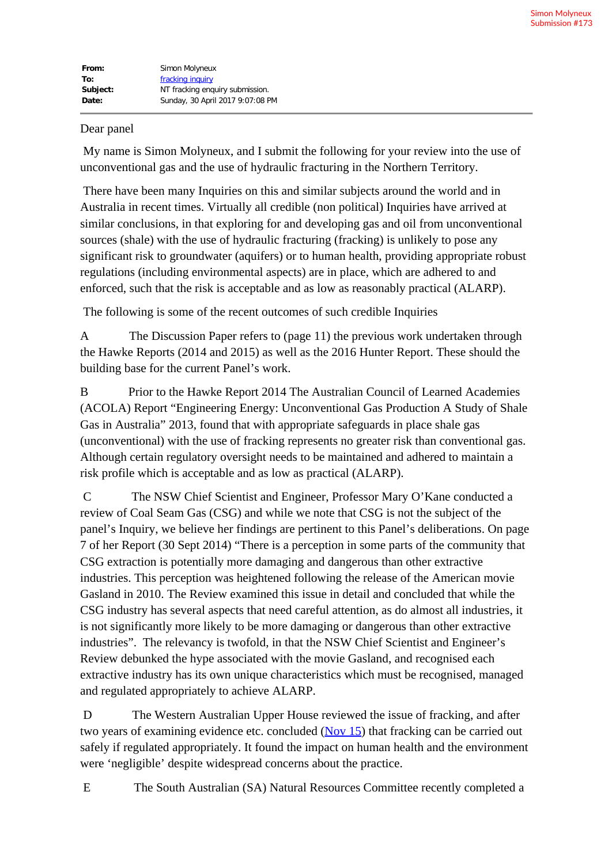| From:    | Simon Molyneux                   |
|----------|----------------------------------|
| To:      | fracking inquiry                 |
| Subject: | NT fracking enquiry submission.  |
| Date:    | Sunday, 30 April 2017 9:07:08 PM |

## Dear panel

My name is Simon Molyneux, and I submit the following for your review into the use of unconventional gas and the use of hydraulic fracturing in the Northern Territory.

There have been many Inquiries on this and similar subjects around the world and in Australia in recent times. Virtually all credible (non political) Inquiries have arrived at similar conclusions, in that exploring for and developing gas and oil from unconventional sources (shale) with the use of hydraulic fracturing (fracking) is unlikely to pose any significant risk to groundwater (aquifers) or to human health, providing appropriate robust regulations (including environmental aspects) are in place, which are adhered to and enforced, such that the risk is acceptable and as low as reasonably practical (ALARP).

The following is some of the recent outcomes of such credible Inquiries

A The Discussion Paper refers to (page 11) the previous work undertaken through the Hawke Reports (2014 and 2015) as well as the 2016 Hunter Report. These should the building base for the current Panel's work.

B Prior to the Hawke Report 2014 The Australian Council of Learned Academies (ACOLA) Report "Engineering Energy: Unconventional Gas Production A Study of Shale Gas in Australia" 2013, found that with appropriate safeguards in place shale gas (unconventional) with the use of fracking represents no greater risk than conventional gas. Although certain regulatory oversight needs to be maintained and adhered to maintain a risk profile which is acceptable and as low as practical (ALARP).

C The NSW Chief Scientist and Engineer, Professor Mary O'Kane conducted a review of Coal Seam Gas (CSG) and while we note that CSG is not the subject of the panel's Inquiry, we believe her findings are pertinent to this Panel's deliberations. On page 7 of her Report (30 Sept 2014) "There is a perception in some parts of the community that CSG extraction is potentially more damaging and dangerous than other extractive industries. This perception was heightened following the release of the American movie Gasland in 2010. The Review examined this issue in detail and concluded that while the CSG industry has several aspects that need careful attention, as do almost all industries, it is not significantly more likely to be more damaging or dangerous than other extractive industries". The relevancy is twofold, in that the NSW Chief Scientist and Engineer's Review debunked the hype associated with the movie Gasland, and recognised each extractive industry has its own unique characteristics which must be recognised, managed and regulated appropriately to achieve ALARP.

D The Western Australian Upper House reviewed the issue of fracking, and after two years of examining evidence etc. concluded  $(Nov 15)$  that fracking can be carried out safely if regulated appropriately. It found the impact on human health and the environment were 'negligible' despite widespread concerns about the practice.

E The South Australian (SA) Natural Resources Committee recently completed a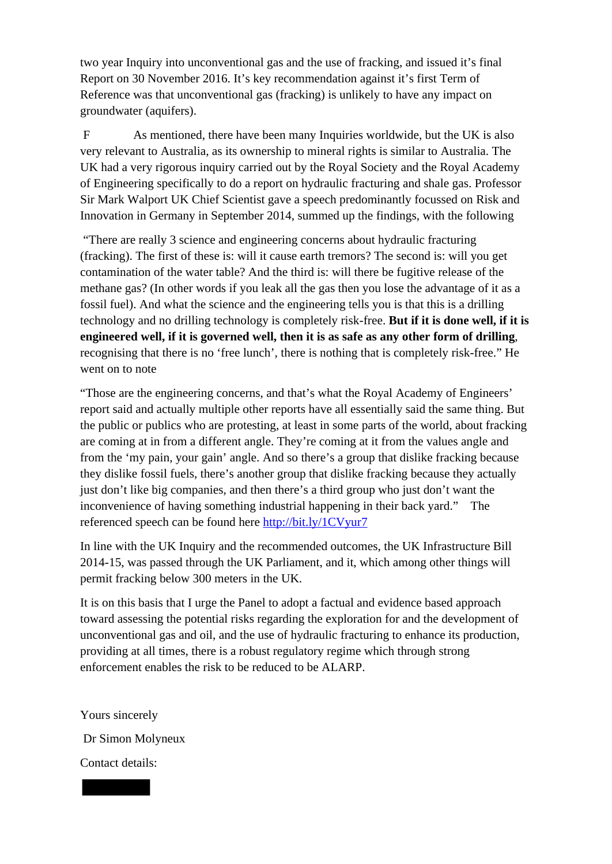two year Inquiry into unconventional gas and the use of fracking, and issued it's final Report on 30 November 2016. It's key recommendation against it's first Term of Reference was that unconventional gas (fracking) is unlikely to have any impact on groundwater (aquifers).

F As mentioned, there have been many Inquiries worldwide, but the UK is also very relevant to Australia, as its ownership to mineral rights is similar to Australia. The UK had a very rigorous inquiry carried out by the Royal Society and the Royal Academy of Engineering specifically to do a report on hydraulic fracturing and shale gas. Professor Sir Mark Walport UK Chief Scientist gave a speech predominantly focussed on Risk and Innovation in Germany in September 2014, summed up the findings, with the following

"There are really 3 science and engineering concerns about hydraulic fracturing (fracking). The first of these is: will it cause earth tremors? The second is: will you get contamination of the water table? And the third is: will there be fugitive release of the methane gas? (In other words if you leak all the gas then you lose the advantage of it as a fossil fuel). And what the science and the engineering tells you is that this is a drilling technology and no drilling technology is completely risk-free. **But if it is done well, if it is engineered well, if it is governed well, then it is as safe as any other form of drilling**, recognising that there is no 'free lunch', there is nothing that is completely risk-free." He went on to note

"Those are the engineering concerns, and that's what the Royal Academy of Engineers' report said and actually multiple other reports have all essentially said the same thing. But the public or publics who are protesting, at least in some parts of the world, about fracking are coming at in from a different angle. They're coming at it from the values angle and from the 'my pain, your gain' angle. And so there's a group that dislike fracking because they dislike fossil fuels, there's another group that dislike fracking because they actually just don't like big companies, and then there's a third group who just don't want the inconvenience of having something industrial happening in their back yard." The referenced speech can be found here http://bit.ly/1CVyur7

In line with the UK Inquiry and the recommended outcomes, the UK Infrastructure Bill 2014-15, was passed through the UK Parliament, and it, which among other things will permit fracking below 300 meters in the UK.

It is on this basis that I urge the Panel to adopt a factual and evidence based approach toward assessing the potential risks regarding the exploration for and the development of unconventional gas and oil, and the use of hydraulic fracturing to enhance its production, providing at all times, there is a robust regulatory regime which through strong enforcement enables the risk to be reduced to be ALARP.

Yours sincerely Dr Simon Molyneux Contact details: